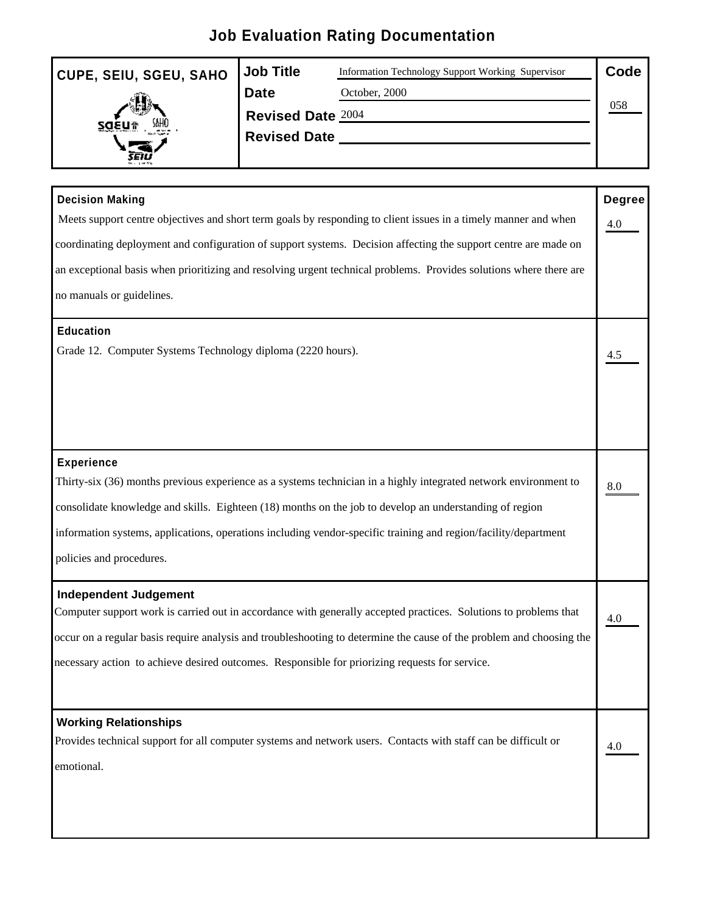## **Job Evaluation Rating Documentation**

| CUPE, SEIU, SGEU, SAHO Job Title |                   | Information Technology Support Working Supervisor | Code |  |
|----------------------------------|-------------------|---------------------------------------------------|------|--|
|                                  | Date              | October, 2000                                     |      |  |
|                                  | Revised Date 2004 |                                                   |      |  |
| ZQEN# Will                       | Revised Date      |                                                   |      |  |
| 5EI.<br>n a greiste.             |                   |                                                   |      |  |

| <b>Decision Making</b>                                                                                               | Degree            |
|----------------------------------------------------------------------------------------------------------------------|-------------------|
| Meets support centre objectives and short term goals by responding to client issues in a timely manner and when      | 4.0               |
| coordinating deployment and configuration of support systems. Decision affecting the support centre are made on      |                   |
| an exceptional basis when prioritizing and resolving urgent technical problems. Provides solutions where there are   |                   |
| no manuals or guidelines.                                                                                            |                   |
| <b>Education</b>                                                                                                     |                   |
| Grade 12. Computer Systems Technology diploma (2220 hours).                                                          | $\frac{4.5}{4.5}$ |
|                                                                                                                      |                   |
| <b>Experience</b>                                                                                                    |                   |
| Thirty-six (36) months previous experience as a systems technician in a highly integrated network environment to     | 8.0               |
| consolidate knowledge and skills. Eighteen (18) months on the job to develop an understanding of region              |                   |
| information systems, applications, operations including vendor-specific training and region/facility/department      |                   |
| policies and procedures.                                                                                             |                   |
| <b>Independent Judgement</b>                                                                                         |                   |
| Computer support work is carried out in accordance with generally accepted practices. Solutions to problems that     | $\frac{4.0}{2}$   |
| occur on a regular basis require analysis and troubleshooting to determine the cause of the problem and choosing the |                   |
| necessary action to achieve desired outcomes. Responsible for priorizing requests for service.                       |                   |
| <b>Working Relationships</b>                                                                                         |                   |
| Provides technical support for all computer systems and network users. Contacts with staff can be difficult or       | $\underline{4.0}$ |
| emotional.                                                                                                           |                   |
|                                                                                                                      |                   |
|                                                                                                                      |                   |
|                                                                                                                      |                   |